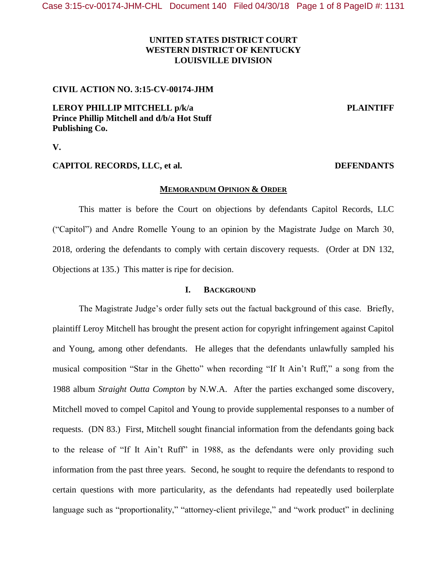# **UNITED STATES DISTRICT COURT WESTERN DISTRICT OF KENTUCKY LOUISVILLE DIVISION**

#### **CIVIL ACTION NO. 3:15-CV-00174-JHM**

LEROY PHILLIP MITCHELL p/k/a PLAINTIFF **Prince Phillip Mitchell and d/b/a Hot Stuff Publishing Co.** 

**V.**

## **CAPITOL RECORDS, LLC, et al. DEFENDANTS**

#### **MEMORANDUM OPINION & ORDER**

This matter is before the Court on objections by defendants Capitol Records, LLC ("Capitol") and Andre Romelle Young to an opinion by the Magistrate Judge on March 30, 2018, ordering the defendants to comply with certain discovery requests. (Order at DN 132, Objections at 135.) This matter is ripe for decision.

### **I. BACKGROUND**

The Magistrate Judge's order fully sets out the factual background of this case. Briefly, plaintiff Leroy Mitchell has brought the present action for copyright infringement against Capitol and Young, among other defendants. He alleges that the defendants unlawfully sampled his musical composition "Star in the Ghetto" when recording "If It Ain't Ruff," a song from the 1988 album *Straight Outta Compton* by N.W.A. After the parties exchanged some discovery, Mitchell moved to compel Capitol and Young to provide supplemental responses to a number of requests. (DN 83.) First, Mitchell sought financial information from the defendants going back to the release of "If It Ain't Ruff" in 1988, as the defendants were only providing such information from the past three years. Second, he sought to require the defendants to respond to certain questions with more particularity, as the defendants had repeatedly used boilerplate language such as "proportionality," "attorney-client privilege," and "work product" in declining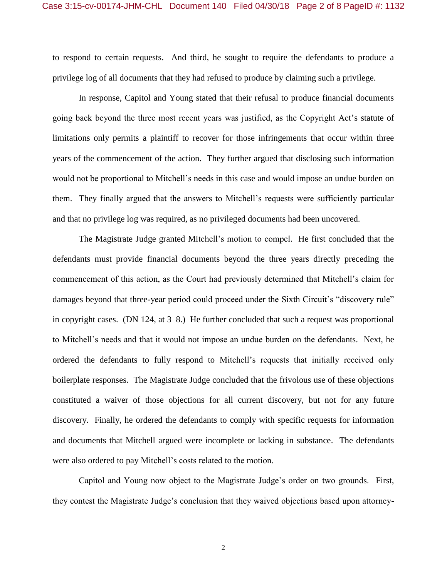to respond to certain requests. And third, he sought to require the defendants to produce a privilege log of all documents that they had refused to produce by claiming such a privilege.

In response, Capitol and Young stated that their refusal to produce financial documents going back beyond the three most recent years was justified, as the Copyright Act's statute of limitations only permits a plaintiff to recover for those infringements that occur within three years of the commencement of the action. They further argued that disclosing such information would not be proportional to Mitchell's needs in this case and would impose an undue burden on them. They finally argued that the answers to Mitchell's requests were sufficiently particular and that no privilege log was required, as no privileged documents had been uncovered.

The Magistrate Judge granted Mitchell's motion to compel. He first concluded that the defendants must provide financial documents beyond the three years directly preceding the commencement of this action, as the Court had previously determined that Mitchell's claim for damages beyond that three-year period could proceed under the Sixth Circuit's "discovery rule" in copyright cases. (DN 124, at 3–8.) He further concluded that such a request was proportional to Mitchell's needs and that it would not impose an undue burden on the defendants. Next, he ordered the defendants to fully respond to Mitchell's requests that initially received only boilerplate responses. The Magistrate Judge concluded that the frivolous use of these objections constituted a waiver of those objections for all current discovery, but not for any future discovery. Finally, he ordered the defendants to comply with specific requests for information and documents that Mitchell argued were incomplete or lacking in substance. The defendants were also ordered to pay Mitchell's costs related to the motion.

Capitol and Young now object to the Magistrate Judge's order on two grounds. First, they contest the Magistrate Judge's conclusion that they waived objections based upon attorney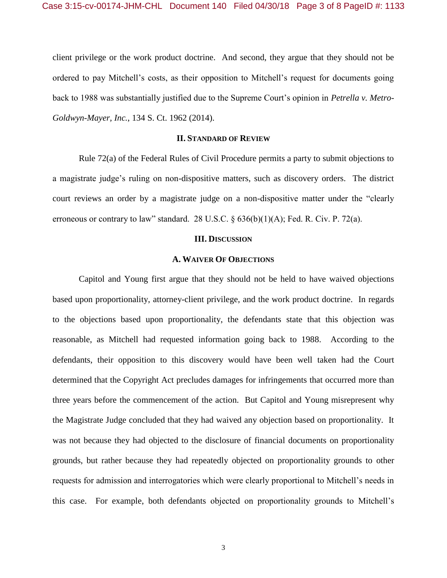client privilege or the work product doctrine. And second, they argue that they should not be ordered to pay Mitchell's costs, as their opposition to Mitchell's request for documents going back to 1988 was substantially justified due to the Supreme Court's opinion in *Petrella v. Metro-Goldwyn-Mayer, Inc.*, 134 S. Ct. 1962 (2014).

### **II. STANDARD OF REVIEW**

Rule 72(a) of the Federal Rules of Civil Procedure permits a party to submit objections to a magistrate judge's ruling on non-dispositive matters, such as discovery orders. The district court reviews an order by a magistrate judge on a non-dispositive matter under the "clearly erroneous or contrary to law" standard. 28 U.S.C.  $\frac{636(b)(1)(A)}{6}$ ; Fed. R. Civ. P. 72(a).

#### **III. DISCUSSION**

## **A. WAIVER OF OBJECTIONS**

Capitol and Young first argue that they should not be held to have waived objections based upon proportionality, attorney-client privilege, and the work product doctrine. In regards to the objections based upon proportionality, the defendants state that this objection was reasonable, as Mitchell had requested information going back to 1988. According to the defendants, their opposition to this discovery would have been well taken had the Court determined that the Copyright Act precludes damages for infringements that occurred more than three years before the commencement of the action. But Capitol and Young misrepresent why the Magistrate Judge concluded that they had waived any objection based on proportionality. It was not because they had objected to the disclosure of financial documents on proportionality grounds, but rather because they had repeatedly objected on proportionality grounds to other requests for admission and interrogatories which were clearly proportional to Mitchell's needs in this case. For example, both defendants objected on proportionality grounds to Mitchell's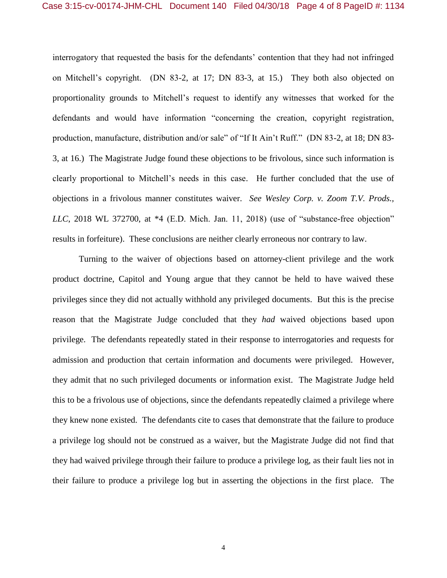interrogatory that requested the basis for the defendants' contention that they had not infringed on Mitchell's copyright. (DN 83-2, at 17; DN 83-3, at 15.) They both also objected on proportionality grounds to Mitchell's request to identify any witnesses that worked for the defendants and would have information "concerning the creation, copyright registration, production, manufacture, distribution and/or sale" of "If It Ain't Ruff." (DN 83-2, at 18; DN 83- 3, at 16.) The Magistrate Judge found these objections to be frivolous, since such information is clearly proportional to Mitchell's needs in this case. He further concluded that the use of objections in a frivolous manner constitutes waiver. *See Wesley Corp. v. Zoom T.V. Prods., LLC*, 2018 WL 372700, at \*4 (E.D. Mich. Jan. 11, 2018) (use of "substance-free objection" results in forfeiture). These conclusions are neither clearly erroneous nor contrary to law.

Turning to the waiver of objections based on attorney-client privilege and the work product doctrine, Capitol and Young argue that they cannot be held to have waived these privileges since they did not actually withhold any privileged documents. But this is the precise reason that the Magistrate Judge concluded that they *had* waived objections based upon privilege. The defendants repeatedly stated in their response to interrogatories and requests for admission and production that certain information and documents were privileged. However, they admit that no such privileged documents or information exist. The Magistrate Judge held this to be a frivolous use of objections, since the defendants repeatedly claimed a privilege where they knew none existed. The defendants cite to cases that demonstrate that the failure to produce a privilege log should not be construed as a waiver, but the Magistrate Judge did not find that they had waived privilege through their failure to produce a privilege log, as their fault lies not in their failure to produce a privilege log but in asserting the objections in the first place. The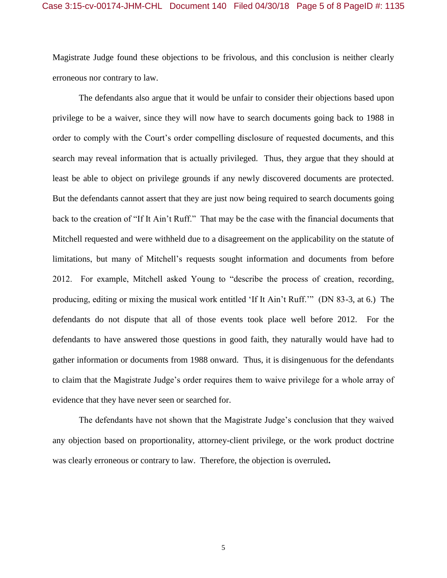Magistrate Judge found these objections to be frivolous, and this conclusion is neither clearly erroneous nor contrary to law.

The defendants also argue that it would be unfair to consider their objections based upon privilege to be a waiver, since they will now have to search documents going back to 1988 in order to comply with the Court's order compelling disclosure of requested documents, and this search may reveal information that is actually privileged. Thus, they argue that they should at least be able to object on privilege grounds if any newly discovered documents are protected. But the defendants cannot assert that they are just now being required to search documents going back to the creation of "If It Ain't Ruff." That may be the case with the financial documents that Mitchell requested and were withheld due to a disagreement on the applicability on the statute of limitations, but many of Mitchell's requests sought information and documents from before 2012. For example, Mitchell asked Young to "describe the process of creation, recording, producing, editing or mixing the musical work entitled 'If It Ain't Ruff.'" (DN 83-3, at 6.) The defendants do not dispute that all of those events took place well before 2012. For the defendants to have answered those questions in good faith, they naturally would have had to gather information or documents from 1988 onward. Thus, it is disingenuous for the defendants to claim that the Magistrate Judge's order requires them to waive privilege for a whole array of evidence that they have never seen or searched for.

The defendants have not shown that the Magistrate Judge's conclusion that they waived any objection based on proportionality, attorney-client privilege, or the work product doctrine was clearly erroneous or contrary to law. Therefore, the objection is overruled**.**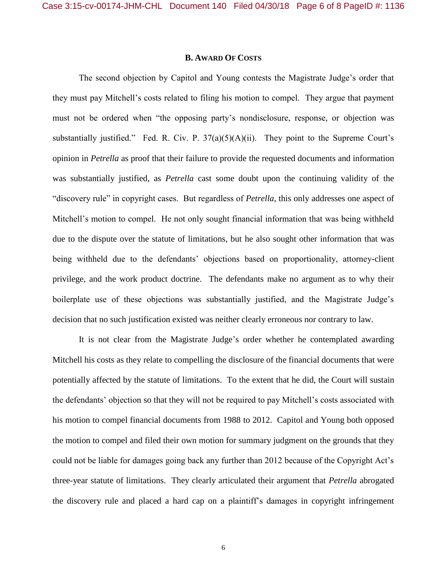### **B. AWARD OF COSTS**

The second objection by Capitol and Young contests the Magistrate Judge's order that they must pay Mitchell's costs related to filing his motion to compel. They argue that payment must not be ordered when "the opposing party's nondisclosure, response, or objection was substantially justified." Fed. R. Civ. P.  $37(a)(5)(A)(ii)$ . They point to the Supreme Court's opinion in *Petrella* as proof that their failure to provide the requested documents and information was substantially justified, as *Petrella* cast some doubt upon the continuing validity of the "discovery rule" in copyright cases. But regardless of *Petrella*, this only addresses one aspect of Mitchell's motion to compel. He not only sought financial information that was being withheld due to the dispute over the statute of limitations, but he also sought other information that was being withheld due to the defendants' objections based on proportionality, attorney-client privilege, and the work product doctrine. The defendants make no argument as to why their boilerplate use of these objections was substantially justified, and the Magistrate Judge's decision that no such justification existed was neither clearly erroneous nor contrary to law.

It is not clear from the Magistrate Judge's order whether he contemplated awarding Mitchell his costs as they relate to compelling the disclosure of the financial documents that were potentially affected by the statute of limitations. To the extent that he did, the Court will sustain the defendants' objection so that they will not be required to pay Mitchell's costs associated with his motion to compel financial documents from 1988 to 2012. Capitol and Young both opposed the motion to compel and filed their own motion for summary judgment on the grounds that they could not be liable for damages going back any further than 2012 because of the Copyright Act's three-year statute of limitations. They clearly articulated their argument that *Petrella* abrogated the discovery rule and placed a hard cap on a plaintiff's damages in copyright infringement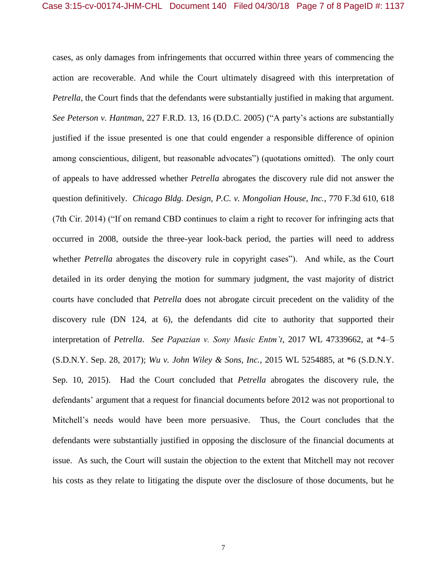cases, as only damages from infringements that occurred within three years of commencing the action are recoverable. And while the Court ultimately disagreed with this interpretation of *Petrella*, the Court finds that the defendants were substantially justified in making that argument. *See Peterson v. Hantman*, 227 F.R.D. 13, 16 (D.D.C. 2005) ("A party's actions are substantially justified if the issue presented is one that could engender a responsible difference of opinion among conscientious, diligent, but reasonable advocates") (quotations omitted). The only court of appeals to have addressed whether *Petrella* abrogates the discovery rule did not answer the question definitively. *Chicago Bldg. Design, P.C. v. Mongolian House, Inc.*, 770 F.3d 610, 618 (7th Cir. 2014) ("If on remand CBD continues to claim a right to recover for infringing acts that occurred in 2008, outside the three-year look-back period, the parties will need to address whether *Petrella* abrogates the discovery rule in copyright cases"). And while, as the Court detailed in its order denying the motion for summary judgment, the vast majority of district courts have concluded that *Petrella* does not abrogate circuit precedent on the validity of the discovery rule (DN 124, at 6), the defendants did cite to authority that supported their interpretation of *Petrella*. *See Papazian v. Sony Music Entm't*, 2017 WL 47339662, at \*4–5 (S.D.N.Y. Sep. 28, 2017); *Wu v. John Wiley & Sons, Inc.*, 2015 WL 5254885, at \*6 (S.D.N.Y. Sep. 10, 2015). Had the Court concluded that *Petrella* abrogates the discovery rule, the defendants' argument that a request for financial documents before 2012 was not proportional to Mitchell's needs would have been more persuasive. Thus, the Court concludes that the defendants were substantially justified in opposing the disclosure of the financial documents at issue. As such, the Court will sustain the objection to the extent that Mitchell may not recover his costs as they relate to litigating the dispute over the disclosure of those documents, but he